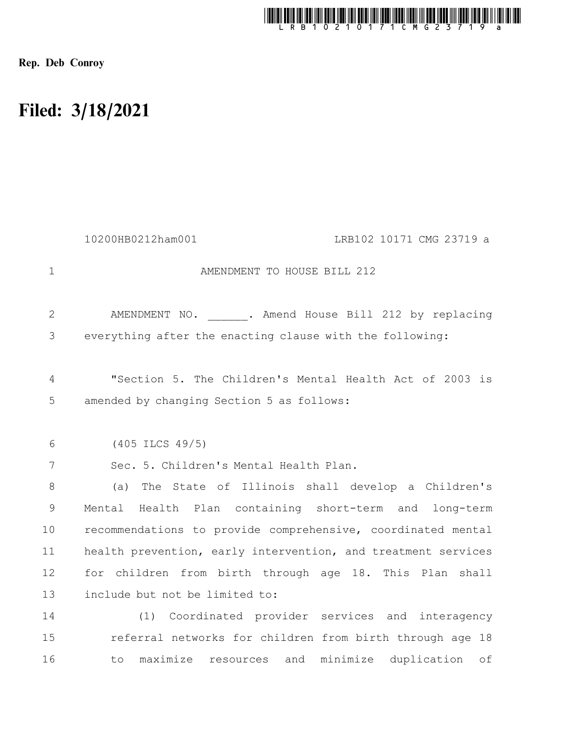

Rep. Deb Conroy

## Filed: 3/18/2021

|              | 10200HB0212ham001<br>LRB102 10171 CMG 23719 a                                                        |
|--------------|------------------------------------------------------------------------------------------------------|
| $\mathbf 1$  | AMENDMENT TO HOUSE BILL 212                                                                          |
| $\mathbf{2}$ | AMENDMENT NO. . Amend House Bill 212 by replacing                                                    |
| 3            | everything after the enacting clause with the following:                                             |
| 4<br>5       | "Section 5. The Children's Mental Health Act of 2003 is<br>amended by changing Section 5 as follows: |
| 6            | $(405$ ILCS $49/5)$                                                                                  |
| 7            | Sec. 5. Children's Mental Health Plan.                                                               |
| 8            | The State of Illinois shall develop a Children's<br>(a)                                              |
| 9            | Mental Health Plan containing short-term and long-term                                               |
| 10           | recommendations to provide comprehensive, coordinated mental                                         |
| 11           | health prevention, early intervention, and treatment services                                        |
| 12           | for children from birth through age 18. This Plan shall                                              |
| 13           | include but not be limited to:                                                                       |
| 14           | (1) Coordinated provider services and interagency                                                    |
| 15           | referral networks for children from birth through age 18                                             |
| 16           | maximize resources<br>and<br>minimize<br>duplication<br>to<br>оf                                     |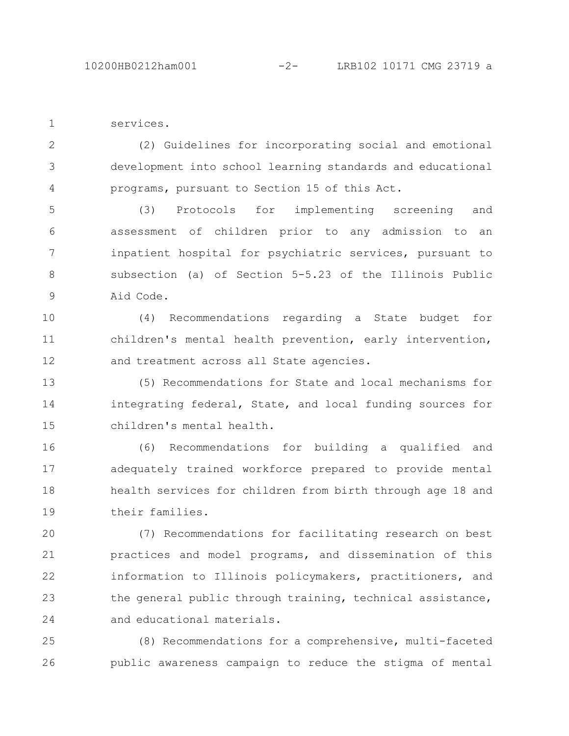services. 1

(2) Guidelines for incorporating social and emotional development into school learning standards and educational programs, pursuant to Section 15 of this Act. 2 3 4

(3) Protocols for implementing screening and assessment of children prior to any admission to an inpatient hospital for psychiatric services, pursuant to subsection (a) of Section 5-5.23 of the Illinois Public Aid Code. 5 6 7 8 9

(4) Recommendations regarding a State budget for children's mental health prevention, early intervention, and treatment across all State agencies. 10 11 12

(5) Recommendations for State and local mechanisms for integrating federal, State, and local funding sources for children's mental health. 13 14 15

(6) Recommendations for building a qualified and adequately trained workforce prepared to provide mental health services for children from birth through age 18 and their families. 16 17 18 19

(7) Recommendations for facilitating research on best practices and model programs, and dissemination of this information to Illinois policymakers, practitioners, and the general public through training, technical assistance, and educational materials. 20 21 22 23 24

(8) Recommendations for a comprehensive, multi-faceted public awareness campaign to reduce the stigma of mental 25 26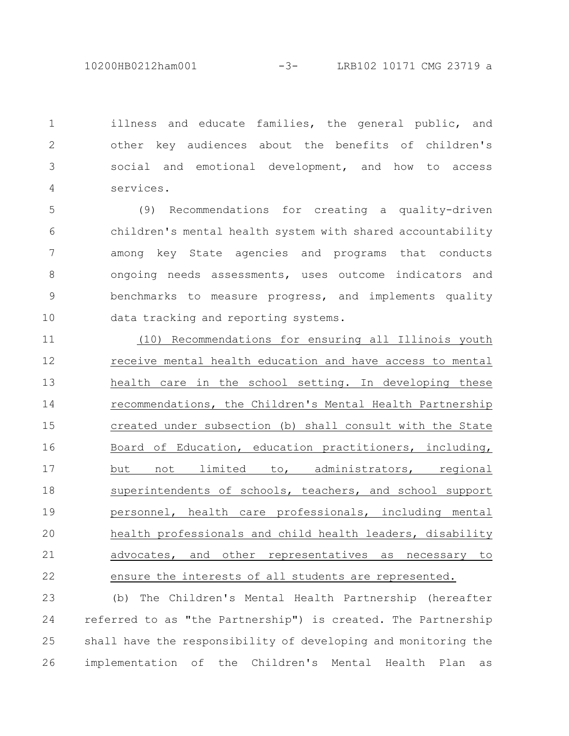10200HB0212ham001 -3- LRB102 10171 CMG 23719 a

illness and educate families, the general public, and other key audiences about the benefits of children's social and emotional development, and how to access services. 1 2 3 4

(9) Recommendations for creating a quality-driven children's mental health system with shared accountability among key State agencies and programs that conducts ongoing needs assessments, uses outcome indicators and benchmarks to measure progress, and implements quality data tracking and reporting systems. 5 6 7 8 9 10

(10) Recommendations for ensuring all Illinois youth receive mental health education and have access to mental health care in the school setting. In developing these recommendations, the Children's Mental Health Partnership created under subsection (b) shall consult with the State Board of Education, education practitioners, including, but not limited to, administrators, regional superintendents of schools, teachers, and school support personnel, health care professionals, including mental health professionals and child health leaders, disability advocates, and other representatives as necessary to ensure the interests of all students are represented. 11 12 13 14 15 16 17 18 19 20 21 22

(b) The Children's Mental Health Partnership (hereafter referred to as "the Partnership") is created. The Partnership shall have the responsibility of developing and monitoring the implementation of the Children's Mental Health Plan as 23 24 25 26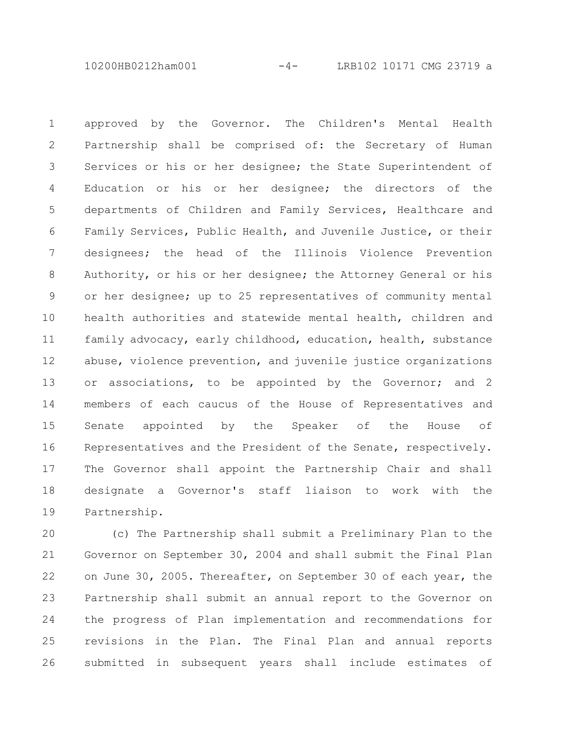10200HB0212ham001 -4- LRB102 10171 CMG 23719 a

approved by the Governor. The Children's Mental Health Partnership shall be comprised of: the Secretary of Human Services or his or her designee; the State Superintendent of Education or his or her designee; the directors of the departments of Children and Family Services, Healthcare and Family Services, Public Health, and Juvenile Justice, or their designees; the head of the Illinois Violence Prevention Authority, or his or her designee; the Attorney General or his or her designee; up to 25 representatives of community mental health authorities and statewide mental health, children and family advocacy, early childhood, education, health, substance abuse, violence prevention, and juvenile justice organizations or associations, to be appointed by the Governor; and 2 members of each caucus of the House of Representatives and Senate appointed by the Speaker of the House of Representatives and the President of the Senate, respectively. The Governor shall appoint the Partnership Chair and shall designate a Governor's staff liaison to work with the Partnership. 1 2 3 4 5 6 7 8 9 10 11 12 13 14 15 16 17 18 19

(c) The Partnership shall submit a Preliminary Plan to the Governor on September 30, 2004 and shall submit the Final Plan on June 30, 2005. Thereafter, on September 30 of each year, the Partnership shall submit an annual report to the Governor on the progress of Plan implementation and recommendations for revisions in the Plan. The Final Plan and annual reports submitted in subsequent years shall include estimates of 20 21 22 23 24 25 26